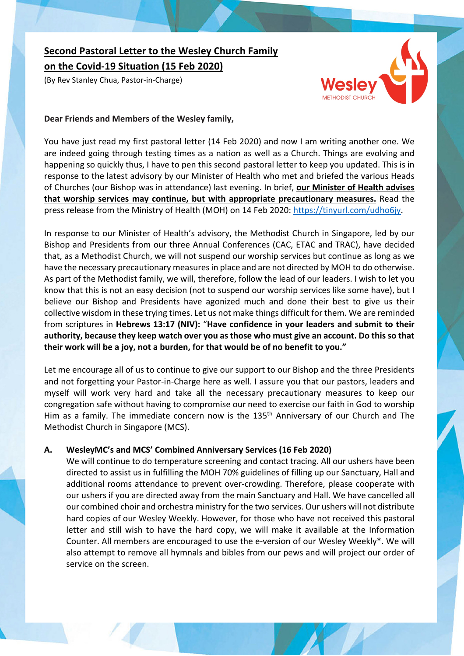# **Second Pastoral Letter to the Wesley Church Family**

**on the Covid-19 Situation (15 Feb 2020)**

(By Rev Stanley Chua, Pastor-in-Charge)



## **Dear Friends and Members of the Wesley family,**

You have just read my first pastoral letter (14 Feb 2020) and now I am writing another one. We are indeed going through testing times as a nation as well as a Church. Things are evolving and happening so quickly thus, I have to pen this second pastoral letter to keep you updated. This is in response to the latest advisory by our Minister of Health who met and briefed the various Heads of Churches (our Bishop was in attendance) last evening. In brief, **our Minister of Health advises that worship services may continue, but with appropriate precautionary measures.** Read the press release from the Ministry of Health (MOH) on 14 Feb 2020: https://tinyurl.com/udho6jy.

In response to our Minister of Health's advisory, the Methodist Church in Singapore, led by our Bishop and Presidents from our three Annual Conferences (CAC, ETAC and TRAC), have decided that, as a Methodist Church, we will not suspend our worship services but continue as long as we have the necessary precautionary measures in place and are not directed by MOH to do otherwise. As part of the Methodist family, we will, therefore, follow the lead of our leaders. I wish to let you know that this is not an easy decision (not to suspend our worship services like some have), but I believe our Bishop and Presidents have agonized much and done their best to give us their collective wisdom in these trying times. Let us not make things difficult for them. We are reminded from scriptures in **Hebrews 13:17 (NIV):** "**Have confidence in your leaders and submit to their authority, because they keep watch over you as those who must give an account. Do this so that their work will be a joy, not a burden, for that would be of no benefit to you."**

Let me encourage all of us to continue to give our support to our Bishop and the three Presidents and not forgetting your Pastor-in-Charge here as well. I assure you that our pastors, leaders and myself will work very hard and take all the necessary precautionary measures to keep our congregation safe without having to compromise our need to exercise our faith in God to worship Him as a family. The immediate concern now is the 135<sup>th</sup> Anniversary of our Church and The Methodist Church in Singapore (MCS).

## **A. WesleyMC's and MCS' Combined Anniversary Services (16 Feb 2020)**

We will continue to do temperature screening and contact tracing. All our ushers have been directed to assist us in fulfilling the MOH 70% guidelines of filling up our Sanctuary, Hall and additional rooms attendance to prevent over-crowding. Therefore, please cooperate with our ushers if you are directed away from the main Sanctuary and Hall. We have cancelled all our combined choir and orchestra ministry for the two services. Our ushers will not distribute hard copies of our Wesley Weekly. However, for those who have not received this pastoral letter and still wish to have the hard copy, we will make it available at the Information Counter. All members are encouraged to use the e-version of our Wesley Weekly\*. We will also attempt to remove all hymnals and bibles from our pews and will project our order of service on the screen.